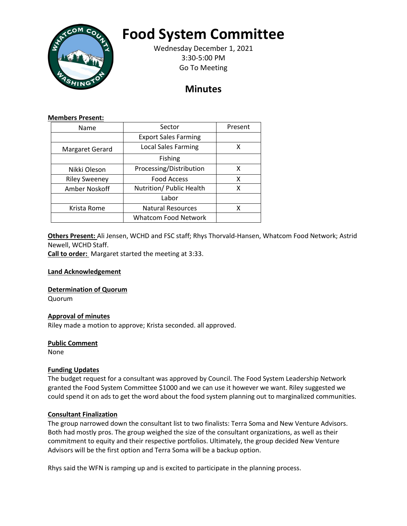

# **Food System Committee**

Wednesday December 1, 2021 3:30-5:00 PM Go To Meeting

# **Minutes**

#### **Members Present:**

| Name                 | Sector                      | Present |
|----------------------|-----------------------------|---------|
|                      | <b>Export Sales Farming</b> |         |
| Margaret Gerard      | <b>Local Sales Farming</b>  | χ       |
|                      | <b>Fishing</b>              |         |
| Nikki Oleson         | Processing/Distribution     | х       |
| <b>Riley Sweeney</b> | <b>Food Access</b>          | x       |
| Amber Noskoff        | Nutrition/ Public Health    | х       |
|                      | Labor                       |         |
| Krista Rome          | <b>Natural Resources</b>    | x       |
|                      | <b>Whatcom Food Network</b> |         |

**Others Present:** Ali Jensen, WCHD and FSC staff; Rhys Thorvald-Hansen, Whatcom Food Network; Astrid Newell, WCHD Staff.

**Call to order:** Margaret started the meeting at 3:33.

**Land Acknowledgement**

**Determination of Quorum**

Quorum

# **Approval of minutes**

Riley made a motion to approve; Krista seconded. all approved.

# **Public Comment**

None

# **Funding Updates**

The budget request for a consultant was approved by Council. The Food System Leadership Network granted the Food System Committee \$1000 and we can use it however we want. Riley suggested we could spend it on ads to get the word about the food system planning out to marginalized communities.

# **Consultant Finalization**

The group narrowed down the consultant list to two finalists: Terra Soma and New Venture Advisors. Both had mostly pros. The group weighed the size of the consultant organizations, as well as their commitment to equity and their respective portfolios. Ultimately, the group decided New Venture Advisors will be the first option and Terra Soma will be a backup option.

Rhys said the WFN is ramping up and is excited to participate in the planning process.